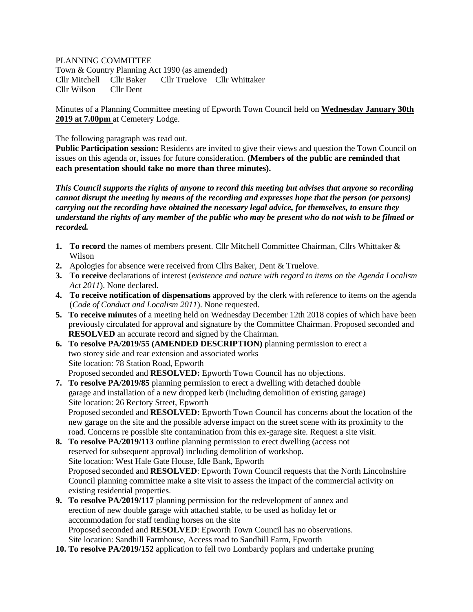## PLANNING COMMITTEE

Town & Country Planning Act 1990 (as amended) Cllr Mitchell Cllr Baker Cllr Truelove Cllr Whittaker Cllr Wilson Cllr Dent

Minutes of a Planning Committee meeting of Epworth Town Council held on **Wednesday January 30th 2019 at 7.00pm** at Cemetery Lodge.

The following paragraph was read out.

**Public Participation session:** Residents are invited to give their views and question the Town Council on issues on this agenda or, issues for future consideration. **(Members of the public are reminded that each presentation should take no more than three minutes).**

*This Council supports the rights of anyone to record this meeting but advises that anyone so recording cannot disrupt the meeting by means of the recording and expresses hope that the person (or persons) carrying out the recording have obtained the necessary legal advice, for themselves, to ensure they understand the rights of any member of the public who may be present who do not wish to be filmed or recorded.*

- **1. To record** the names of members present. Cllr Mitchell Committee Chairman, Cllrs Whittaker & Wilson
- **2.** Apologies for absence were received from Cllrs Baker, Dent & Truelove.
- **3. To receive** declarations of interest (*existence and nature with regard to items on the Agenda Localism Act 2011*). None declared.
- **4. To receive notification of dispensations** approved by the clerk with reference to items on the agenda (*Code of Conduct and Localism 2011*). None requested.
- **5. To receive minutes** of a meeting held on Wednesday December 12th 2018 copies of which have been previously circulated for approval and signature by the Committee Chairman. Proposed seconded and **RESOLVED** an accurate record and signed by the Chairman.

**6. To resolve PA/2019/55 (AMENDED DESCRIPTION)** planning permission to erect a two storey side and rear extension and associated works Site location: 78 Station Road, Epworth Proposed seconded and **RESOLVED:** Epworth Town Council has no objections.

- **7. To resolve PA/2019/85** planning permission to erect a dwelling with detached double garage and installation of a new dropped kerb (including demolition of existing garage) Site location: 26 Rectory Street, Epworth Proposed seconded and **RESOLVED:** Epworth Town Council has concerns about the location of the new garage on the site and the possible adverse impact on the street scene with its proximity to the road. Concerns re possible site contamination from this ex-garage site. Request a site visit.
- **8. To resolve PA/2019/113** outline planning permission to erect dwelling (access not reserved for subsequent approval) including demolition of workshop. Site location: West Hale Gate House, Idle Bank, Epworth Proposed seconded and **RESOLVED**: Epworth Town Council requests that the North Lincolnshire Council planning committee make a site visit to assess the impact of the commercial activity on existing residential properties.
- **9. To resolve PA/2019/117** planning permission for the redevelopment of annex and erection of new double garage with attached stable, to be used as holiday let or accommodation for staff tending horses on the site Proposed seconded and **RESOLVED**: Epworth Town Council has no observations. Site location: Sandhill Farmhouse, Access road to Sandhill Farm, Epworth
- **10. To resolve PA/2019/152** application to fell two Lombardy poplars and undertake pruning